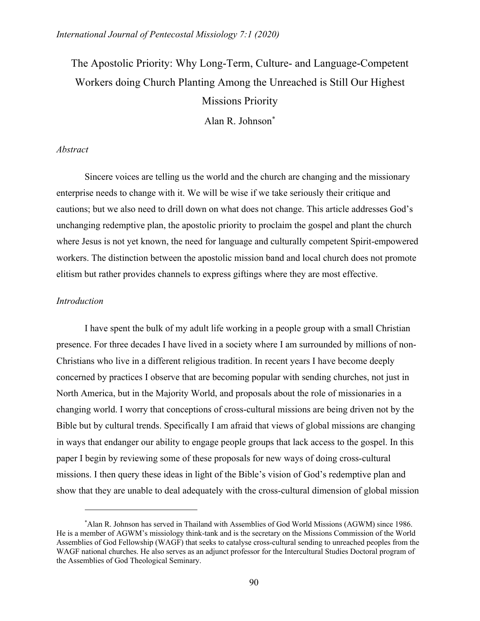# The Apostolic Priority: Why Long-Term, Culture- and Language-Competent Workers doing Church Planting Among the Unreached is Still Our Highest Missions Priority

Alan R. Johnson\*

## *Abstract*

Sincere voices are telling us the world and the church are changing and the missionary enterprise needs to change with it. We will be wise if we take seriously their critique and cautions; but we also need to drill down on what does not change. This article addresses God's unchanging redemptive plan, the apostolic priority to proclaim the gospel and plant the church where Jesus is not yet known, the need for language and culturally competent Spirit-empowered workers. The distinction between the apostolic mission band and local church does not promote elitism but rather provides channels to express giftings where they are most effective.

# *Introduction*

I have spent the bulk of my adult life working in a people group with a small Christian presence. For three decades I have lived in a society where I am surrounded by millions of non-Christians who live in a different religious tradition. In recent years I have become deeply concerned by practices I observe that are becoming popular with sending churches, not just in North America, but in the Majority World, and proposals about the role of missionaries in a changing world. I worry that conceptions of cross-cultural missions are being driven not by the Bible but by cultural trends. Specifically I am afraid that views of global missions are changing in ways that endanger our ability to engage people groups that lack access to the gospel. In this paper I begin by reviewing some of these proposals for new ways of doing cross-cultural missions. I then query these ideas in light of the Bible's vision of God's redemptive plan and show that they are unable to deal adequately with the cross-cultural dimension of global mission

<sup>\*</sup> Alan R. Johnson has served in Thailand with Assemblies of God World Missions (AGWM) since 1986. He is a member of AGWM's missiology think-tank and is the secretary on the Missions Commission of the World Assemblies of God Fellowship (WAGF) that seeks to catalyse cross-cultural sending to unreached peoples from the WAGF national churches. He also serves as an adjunct professor for the Intercultural Studies Doctoral program of the Assemblies of God Theological Seminary.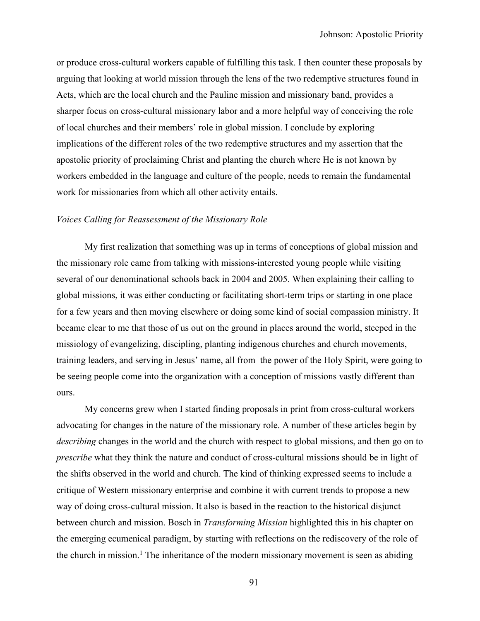or produce cross-cultural workers capable of fulfilling this task. I then counter these proposals by arguing that looking at world mission through the lens of the two redemptive structures found in Acts, which are the local church and the Pauline mission and missionary band, provides a sharper focus on cross-cultural missionary labor and a more helpful way of conceiving the role of local churches and their members' role in global mission. I conclude by exploring implications of the different roles of the two redemptive structures and my assertion that the apostolic priority of proclaiming Christ and planting the church where He is not known by workers embedded in the language and culture of the people, needs to remain the fundamental work for missionaries from which all other activity entails.

### *Voices Calling for Reassessment of the Missionary Role*

My first realization that something was up in terms of conceptions of global mission and the missionary role came from talking with missions-interested young people while visiting several of our denominational schools back in 2004 and 2005. When explaining their calling to global missions, it was either conducting or facilitating short-term trips or starting in one place for a few years and then moving elsewhere or doing some kind of social compassion ministry. It became clear to me that those of us out on the ground in places around the world, steeped in the missiology of evangelizing, discipling, planting indigenous churches and church movements, training leaders, and serving in Jesus' name, all from the power of the Holy Spirit, were going to be seeing people come into the organization with a conception of missions vastly different than ours.

My concerns grew when I started finding proposals in print from cross-cultural workers advocating for changes in the nature of the missionary role. A number of these articles begin by *describing* changes in the world and the church with respect to global missions, and then go on to *prescribe* what they think the nature and conduct of cross-cultural missions should be in light of the shifts observed in the world and church. The kind of thinking expressed seems to include a critique of Western missionary enterprise and combine it with current trends to propose a new way of doing cross-cultural mission. It also is based in the reaction to the historical disjunct between church and mission. Bosch in *Transforming Mission* highlighted this in his chapter on the emerging ecumenical paradigm, by starting with reflections on the rediscovery of the role of the church in mission.<sup>1</sup> The inheritance of the modern missionary movement is seen as abiding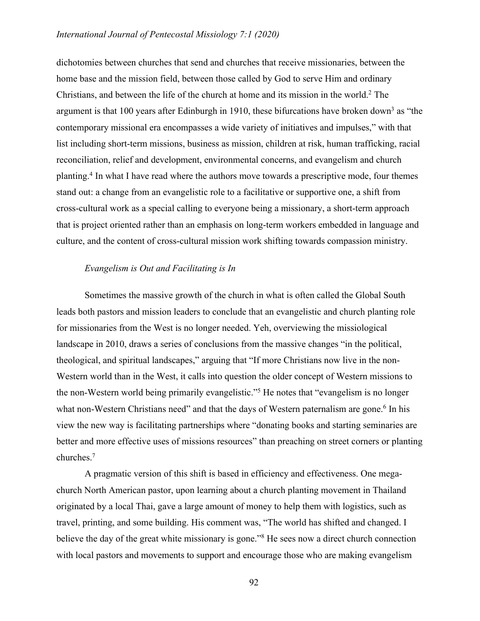dichotomies between churches that send and churches that receive missionaries, between the home base and the mission field, between those called by God to serve Him and ordinary Christians, and between the life of the church at home and its mission in the world.2 The argument is that 100 years after Edinburgh in 1910, these bifurcations have broken down<sup>3</sup> as "the contemporary missional era encompasses a wide variety of initiatives and impulses," with that list including short-term missions, business as mission, children at risk, human trafficking, racial reconciliation, relief and development, environmental concerns, and evangelism and church planting.4 In what I have read where the authors move towards a prescriptive mode, four themes stand out: a change from an evangelistic role to a facilitative or supportive one, a shift from cross-cultural work as a special calling to everyone being a missionary, a short-term approach that is project oriented rather than an emphasis on long-term workers embedded in language and culture, and the content of cross-cultural mission work shifting towards compassion ministry.

## *Evangelism is Out and Facilitating is In*

Sometimes the massive growth of the church in what is often called the Global South leads both pastors and mission leaders to conclude that an evangelistic and church planting role for missionaries from the West is no longer needed. Yeh, overviewing the missiological landscape in 2010, draws a series of conclusions from the massive changes "in the political, theological, and spiritual landscapes," arguing that "If more Christians now live in the non-Western world than in the West, it calls into question the older concept of Western missions to the non-Western world being primarily evangelistic."5 He notes that "evangelism is no longer what non-Western Christians need" and that the days of Western paternalism are gone.<sup>6</sup> In his view the new way is facilitating partnerships where "donating books and starting seminaries are better and more effective uses of missions resources" than preaching on street corners or planting churches.7

A pragmatic version of this shift is based in efficiency and effectiveness. One megachurch North American pastor, upon learning about a church planting movement in Thailand originated by a local Thai, gave a large amount of money to help them with logistics, such as travel, printing, and some building. His comment was, "The world has shifted and changed. I believe the day of the great white missionary is gone.<sup>38</sup> He sees now a direct church connection with local pastors and movements to support and encourage those who are making evangelism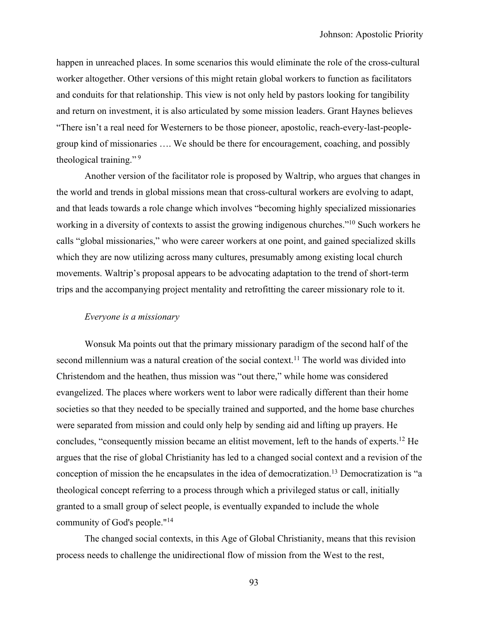happen in unreached places. In some scenarios this would eliminate the role of the cross-cultural worker altogether. Other versions of this might retain global workers to function as facilitators and conduits for that relationship. This view is not only held by pastors looking for tangibility and return on investment, it is also articulated by some mission leaders. Grant Haynes believes "There isn't a real need for Westerners to be those pioneer, apostolic, reach-every-last-peoplegroup kind of missionaries …. We should be there for encouragement, coaching, and possibly theological training."<sup>9</sup>

Another version of the facilitator role is proposed by Waltrip, who argues that changes in the world and trends in global missions mean that cross-cultural workers are evolving to adapt, and that leads towards a role change which involves "becoming highly specialized missionaries working in a diversity of contexts to assist the growing indigenous churches."10 Such workers he calls "global missionaries," who were career workers at one point, and gained specialized skills which they are now utilizing across many cultures, presumably among existing local church movements. Waltrip's proposal appears to be advocating adaptation to the trend of short-term trips and the accompanying project mentality and retrofitting the career missionary role to it.

### *Everyone is a missionary*

Wonsuk Ma points out that the primary missionary paradigm of the second half of the second millennium was a natural creation of the social context.<sup>11</sup> The world was divided into Christendom and the heathen, thus mission was "out there," while home was considered evangelized. The places where workers went to labor were radically different than their home societies so that they needed to be specially trained and supported, and the home base churches were separated from mission and could only help by sending aid and lifting up prayers. He concludes, "consequently mission became an elitist movement, left to the hands of experts. <sup>12</sup> He argues that the rise of global Christianity has led to a changed social context and a revision of the conception of mission the he encapsulates in the idea of democratization.13 Democratization is "a theological concept referring to a process through which a privileged status or call, initially granted to a small group of select people, is eventually expanded to include the whole community of God's people."14

The changed social contexts, in this Age of Global Christianity, means that this revision process needs to challenge the unidirectional flow of mission from the West to the rest,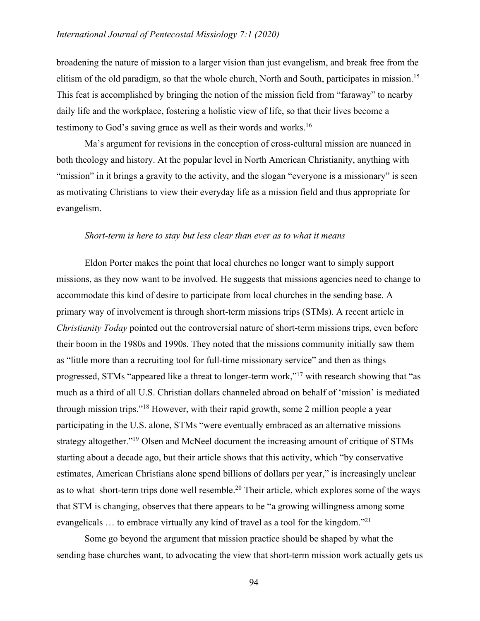broadening the nature of mission to a larger vision than just evangelism, and break free from the elitism of the old paradigm, so that the whole church, North and South, participates in mission.<sup>15</sup> This feat is accomplished by bringing the notion of the mission field from "faraway" to nearby daily life and the workplace, fostering a holistic view of life, so that their lives become a testimony to God's saving grace as well as their words and works.16

Ma's argument for revisions in the conception of cross-cultural mission are nuanced in both theology and history. At the popular level in North American Christianity, anything with "mission" in it brings a gravity to the activity, and the slogan "everyone is a missionary" is seen as motivating Christians to view their everyday life as a mission field and thus appropriate for evangelism.

#### *Short-term is here to stay but less clear than ever as to what it means*

Eldon Porter makes the point that local churches no longer want to simply support missions, as they now want to be involved. He suggests that missions agencies need to change to accommodate this kind of desire to participate from local churches in the sending base. A primary way of involvement is through short-term missions trips (STMs). A recent article in *Christianity Today* pointed out the controversial nature of short-term missions trips, even before their boom in the 1980s and 1990s. They noted that the missions community initially saw them as "little more than a recruiting tool for full-time missionary service" and then as things progressed, STMs "appeared like a threat to longer-term work,"17 with research showing that "as much as a third of all U.S. Christian dollars channeled abroad on behalf of 'mission' is mediated through mission trips."18 However, with their rapid growth, some 2 million people a year participating in the U.S. alone, STMs "were eventually embraced as an alternative missions strategy altogether."19 Olsen and McNeel document the increasing amount of critique of STMs starting about a decade ago, but their article shows that this activity, which "by conservative estimates, American Christians alone spend billions of dollars per year," is increasingly unclear as to what short-term trips done well resemble.<sup>20</sup> Their article, which explores some of the ways that STM is changing, observes that there appears to be "a growing willingness among some evangelicals … to embrace virtually any kind of travel as a tool for the kingdom."21

Some go beyond the argument that mission practice should be shaped by what the sending base churches want, to advocating the view that short-term mission work actually gets us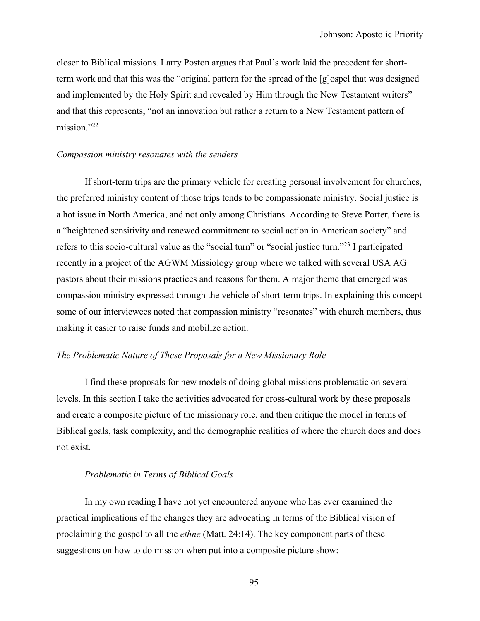closer to Biblical missions. Larry Poston argues that Paul's work laid the precedent for shortterm work and that this was the "original pattern for the spread of the [g]ospel that was designed and implemented by the Holy Spirit and revealed by Him through the New Testament writers" and that this represents, "not an innovation but rather a return to a New Testament pattern of mission."22

## *Compassion ministry resonates with the senders*

If short-term trips are the primary vehicle for creating personal involvement for churches, the preferred ministry content of those trips tends to be compassionate ministry. Social justice is a hot issue in North America, and not only among Christians. According to Steve Porter, there is a "heightened sensitivity and renewed commitment to social action in American society" and refers to this socio-cultural value as the "social turn" or "social justice turn."23 I participated recently in a project of the AGWM Missiology group where we talked with several USA AG pastors about their missions practices and reasons for them. A major theme that emerged was compassion ministry expressed through the vehicle of short-term trips. In explaining this concept some of our interviewees noted that compassion ministry "resonates" with church members, thus making it easier to raise funds and mobilize action.

## *The Problematic Nature of These Proposals for a New Missionary Role*

I find these proposals for new models of doing global missions problematic on several levels. In this section I take the activities advocated for cross-cultural work by these proposals and create a composite picture of the missionary role, and then critique the model in terms of Biblical goals, task complexity, and the demographic realities of where the church does and does not exist.

### *Problematic in Terms of Biblical Goals*

In my own reading I have not yet encountered anyone who has ever examined the practical implications of the changes they are advocating in terms of the Biblical vision of proclaiming the gospel to all the *ethne* (Matt. 24:14). The key component parts of these suggestions on how to do mission when put into a composite picture show: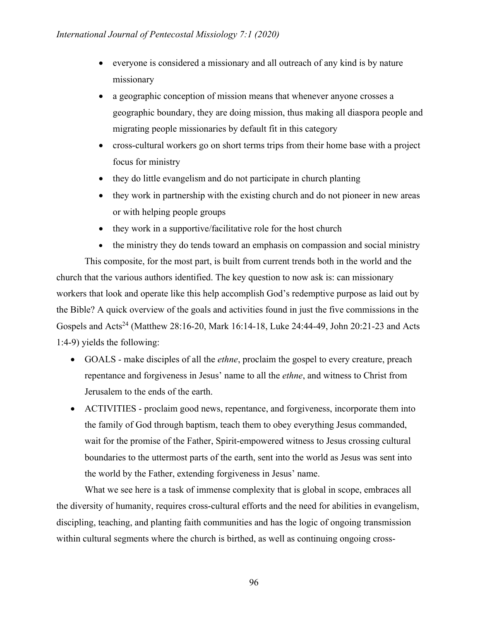- everyone is considered a missionary and all outreach of any kind is by nature missionary
- a geographic conception of mission means that whenever anyone crosses a geographic boundary, they are doing mission, thus making all diaspora people and migrating people missionaries by default fit in this category
- cross-cultural workers go on short terms trips from their home base with a project focus for ministry
- they do little evangelism and do not participate in church planting
- they work in partnership with the existing church and do not pioneer in new areas or with helping people groups
- they work in a supportive/facilitative role for the host church
- the ministry they do tends toward an emphasis on compassion and social ministry

This composite, for the most part, is built from current trends both in the world and the church that the various authors identified. The key question to now ask is: can missionary workers that look and operate like this help accomplish God's redemptive purpose as laid out by the Bible? A quick overview of the goals and activities found in just the five commissions in the Gospels and Acts<sup>24</sup> (Matthew 28:16-20, Mark 16:14-18, Luke 24:44-49, John 20:21-23 and Acts 1:4-9) yields the following:

- GOALS make disciples of all the *ethne*, proclaim the gospel to every creature, preach repentance and forgiveness in Jesus' name to all the *ethne*, and witness to Christ from Jerusalem to the ends of the earth.
- ACTIVITIES proclaim good news, repentance, and forgiveness, incorporate them into the family of God through baptism, teach them to obey everything Jesus commanded, wait for the promise of the Father, Spirit-empowered witness to Jesus crossing cultural boundaries to the uttermost parts of the earth, sent into the world as Jesus was sent into the world by the Father, extending forgiveness in Jesus' name.

What we see here is a task of immense complexity that is global in scope, embraces all the diversity of humanity, requires cross-cultural efforts and the need for abilities in evangelism, discipling, teaching, and planting faith communities and has the logic of ongoing transmission within cultural segments where the church is birthed, as well as continuing ongoing cross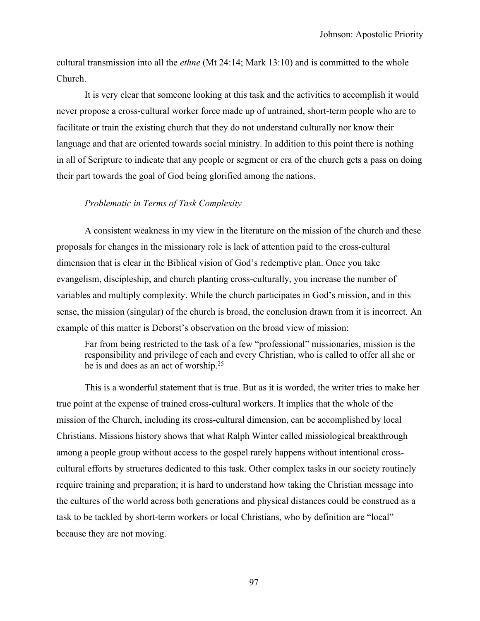cultural transmission into all the *ethne* (Mt 24:14; Mark 13:10) and is committed to the whole Church.

It is very clear that someone looking at this task and the activities to accomplish it would never propose a cross-cultural worker force made up of untrained, short-term people who are to facilitate or train the existing church that they do not understand culturally nor know their language and that are oriented towards social ministry. In addition to this point there is nothing in all of Scripture to indicate that any people or segment or era of the church gets a pass on doing their part towards the goal of God being glorified among the nations.

### *Problematic in Terms of Task Complexity*

A consistent weakness in my view in the literature on the mission of the church and these proposals for changes in the missionary role is lack of attention paid to the cross-cultural dimension that is clear in the Biblical vision of God's redemptive plan. Once you take evangelism, discipleship, and church planting cross-culturally, you increase the number of variables and multiply complexity. While the church participates in God's mission, and in this sense, the mission (singular) of the church is broad, the conclusion drawn from it is incorrect. An example of this matter is Deborst's observation on the broad view of mission:

Far from being restricted to the task of a few "professional" missionaries, mission is the responsibility and privilege of each and every Christian, who is called to offer all she or he is and does as an act of worship.25

This is a wonderful statement that is true. But as it is worded, the writer tries to make her true point at the expense of trained cross-cultural workers. It implies that the whole of the mission of the Church, including its cross-cultural dimension, can be accomplished by local Christians. Missions history shows that what Ralph Winter called missiological breakthrough among a people group without access to the gospel rarely happens without intentional crosscultural efforts by structures dedicated to this task. Other complex tasks in our society routinely require training and preparation; it is hard to understand how taking the Christian message into the cultures of the world across both generations and physical distances could be construed as a task to be tackled by short-term workers or local Christians, who by definition are "local" because they are not moving.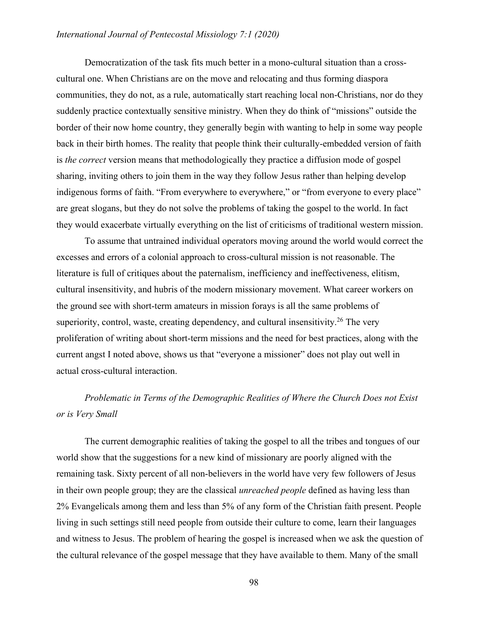Democratization of the task fits much better in a mono-cultural situation than a crosscultural one. When Christians are on the move and relocating and thus forming diaspora communities, they do not, as a rule, automatically start reaching local non-Christians, nor do they suddenly practice contextually sensitive ministry. When they do think of "missions" outside the border of their now home country, they generally begin with wanting to help in some way people back in their birth homes. The reality that people think their culturally-embedded version of faith is *the correct* version means that methodologically they practice a diffusion mode of gospel sharing, inviting others to join them in the way they follow Jesus rather than helping develop indigenous forms of faith. "From everywhere to everywhere," or "from everyone to every place" are great slogans, but they do not solve the problems of taking the gospel to the world. In fact they would exacerbate virtually everything on the list of criticisms of traditional western mission.

To assume that untrained individual operators moving around the world would correct the excesses and errors of a colonial approach to cross-cultural mission is not reasonable. The literature is full of critiques about the paternalism, inefficiency and ineffectiveness, elitism, cultural insensitivity, and hubris of the modern missionary movement. What career workers on the ground see with short-term amateurs in mission forays is all the same problems of superiority, control, waste, creating dependency, and cultural insensitivity.<sup>26</sup> The very proliferation of writing about short-term missions and the need for best practices, along with the current angst I noted above, shows us that "everyone a missioner" does not play out well in actual cross-cultural interaction.

# *Problematic in Terms of the Demographic Realities of Where the Church Does not Exist or is Very Small*

The current demographic realities of taking the gospel to all the tribes and tongues of our world show that the suggestions for a new kind of missionary are poorly aligned with the remaining task. Sixty percent of all non-believers in the world have very few followers of Jesus in their own people group; they are the classical *unreached people* defined as having less than 2% Evangelicals among them and less than 5% of any form of the Christian faith present. People living in such settings still need people from outside their culture to come, learn their languages and witness to Jesus. The problem of hearing the gospel is increased when we ask the question of the cultural relevance of the gospel message that they have available to them. Many of the small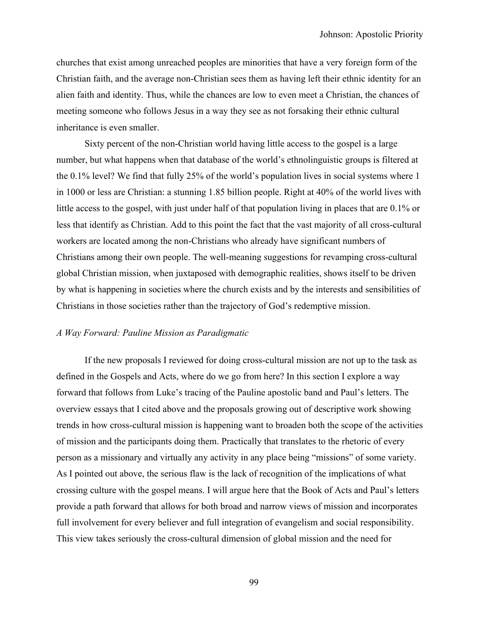churches that exist among unreached peoples are minorities that have a very foreign form of the Christian faith, and the average non-Christian sees them as having left their ethnic identity for an alien faith and identity. Thus, while the chances are low to even meet a Christian, the chances of meeting someone who follows Jesus in a way they see as not forsaking their ethnic cultural inheritance is even smaller.

Sixty percent of the non-Christian world having little access to the gospel is a large number, but what happens when that database of the world's ethnolinguistic groups is filtered at the 0.1% level? We find that fully 25% of the world's population lives in social systems where 1 in 1000 or less are Christian: a stunning 1.85 billion people. Right at 40% of the world lives with little access to the gospel, with just under half of that population living in places that are 0.1% or less that identify as Christian. Add to this point the fact that the vast majority of all cross-cultural workers are located among the non-Christians who already have significant numbers of Christians among their own people. The well-meaning suggestions for revamping cross-cultural global Christian mission, when juxtaposed with demographic realities, shows itself to be driven by what is happening in societies where the church exists and by the interests and sensibilities of Christians in those societies rather than the trajectory of God's redemptive mission.

# *A Way Forward: Pauline Mission as Paradigmatic*

If the new proposals I reviewed for doing cross-cultural mission are not up to the task as defined in the Gospels and Acts, where do we go from here? In this section I explore a way forward that follows from Luke's tracing of the Pauline apostolic band and Paul's letters. The overview essays that I cited above and the proposals growing out of descriptive work showing trends in how cross-cultural mission is happening want to broaden both the scope of the activities of mission and the participants doing them. Practically that translates to the rhetoric of every person as a missionary and virtually any activity in any place being "missions" of some variety. As I pointed out above, the serious flaw is the lack of recognition of the implications of what crossing culture with the gospel means. I will argue here that the Book of Acts and Paul's letters provide a path forward that allows for both broad and narrow views of mission and incorporates full involvement for every believer and full integration of evangelism and social responsibility. This view takes seriously the cross-cultural dimension of global mission and the need for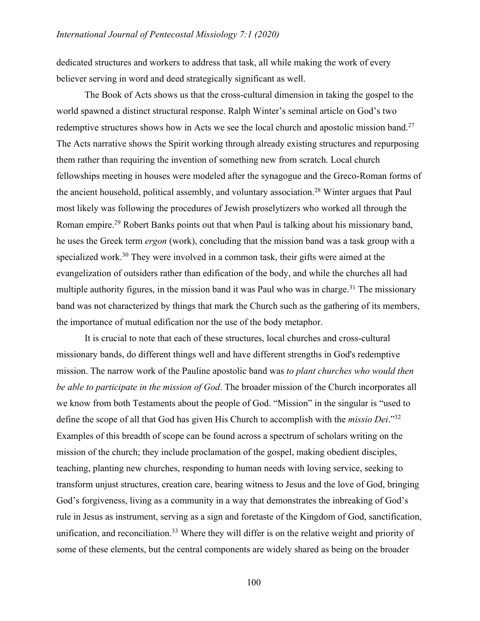dedicated structures and workers to address that task, all while making the work of every believer serving in word and deed strategically significant as well.

The Book of Acts shows us that the cross-cultural dimension in taking the gospel to the world spawned a distinct structural response. Ralph Winter's seminal article on God's two redemptive structures shows how in Acts we see the local church and apostolic mission band.<sup>27</sup> The Acts narrative shows the Spirit working through already existing structures and repurposing them rather than requiring the invention of something new from scratch. Local church fellowships meeting in houses were modeled after the synagogue and the Greco-Roman forms of the ancient household, political assembly, and voluntary association.<sup>28</sup> Winter argues that Paul most likely was following the procedures of Jewish proselytizers who worked all through the Roman empire.<sup>29</sup> Robert Banks points out that when Paul is talking about his missionary band, he uses the Greek term *ergon* (work), concluding that the mission band was a task group with a specialized work.<sup>30</sup> They were involved in a common task, their gifts were aimed at the evangelization of outsiders rather than edification of the body, and while the churches all had multiple authority figures, in the mission band it was Paul who was in charge.<sup>31</sup> The missionary band was not characterized by things that mark the Church such as the gathering of its members, the importance of mutual edification nor the use of the body metaphor.

It is crucial to note that each of these structures, local churches and cross-cultural missionary bands, do different things well and have different strengths in God's redemptive mission. The narrow work of the Pauline apostolic band was *to plant churches who would then be able to participate in the mission of God*. The broader mission of the Church incorporates all we know from both Testaments about the people of God. "Mission" in the singular is "used to define the scope of all that God has given His Church to accomplish with the *missio Dei*."32 Examples of this breadth of scope can be found across a spectrum of scholars writing on the mission of the church; they include proclamation of the gospel, making obedient disciples, teaching, planting new churches, responding to human needs with loving service, seeking to transform unjust structures, creation care, bearing witness to Jesus and the love of God, bringing God's forgiveness, living as a community in a way that demonstrates the inbreaking of God's rule in Jesus as instrument, serving as a sign and foretaste of the Kingdom of God, sanctification, unification, and reconciliation.<sup>33</sup> Where they will differ is on the relative weight and priority of some of these elements, but the central components are widely shared as being on the broader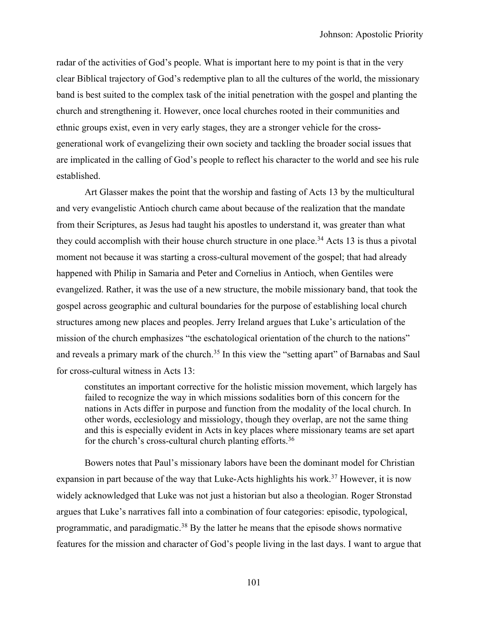radar of the activities of God's people. What is important here to my point is that in the very clear Biblical trajectory of God's redemptive plan to all the cultures of the world, the missionary band is best suited to the complex task of the initial penetration with the gospel and planting the church and strengthening it. However, once local churches rooted in their communities and ethnic groups exist, even in very early stages, they are a stronger vehicle for the crossgenerational work of evangelizing their own society and tackling the broader social issues that are implicated in the calling of God's people to reflect his character to the world and see his rule established.

Art Glasser makes the point that the worship and fasting of Acts 13 by the multicultural and very evangelistic Antioch church came about because of the realization that the mandate from their Scriptures, as Jesus had taught his apostles to understand it, was greater than what they could accomplish with their house church structure in one place.<sup>34</sup> Acts 13 is thus a pivotal moment not because it was starting a cross-cultural movement of the gospel; that had already happened with Philip in Samaria and Peter and Cornelius in Antioch, when Gentiles were evangelized. Rather, it was the use of a new structure, the mobile missionary band, that took the gospel across geographic and cultural boundaries for the purpose of establishing local church structures among new places and peoples. Jerry Ireland argues that Luke's articulation of the mission of the church emphasizes "the eschatological orientation of the church to the nations" and reveals a primary mark of the church.<sup>35</sup> In this view the "setting apart" of Barnabas and Saul for cross-cultural witness in Acts 13:

constitutes an important corrective for the holistic mission movement, which largely has failed to recognize the way in which missions sodalities born of this concern for the nations in Acts differ in purpose and function from the modality of the local church. In other words, ecclesiology and missiology, though they overlap, are not the same thing and this is especially evident in Acts in key places where missionary teams are set apart for the church's cross-cultural church planting efforts.36

Bowers notes that Paul's missionary labors have been the dominant model for Christian expansion in part because of the way that Luke-Acts highlights his work.<sup>37</sup> However, it is now widely acknowledged that Luke was not just a historian but also a theologian. Roger Stronstad argues that Luke's narratives fall into a combination of four categories: episodic, typological, programmatic, and paradigmatic.38 By the latter he means that the episode shows normative features for the mission and character of God's people living in the last days. I want to argue that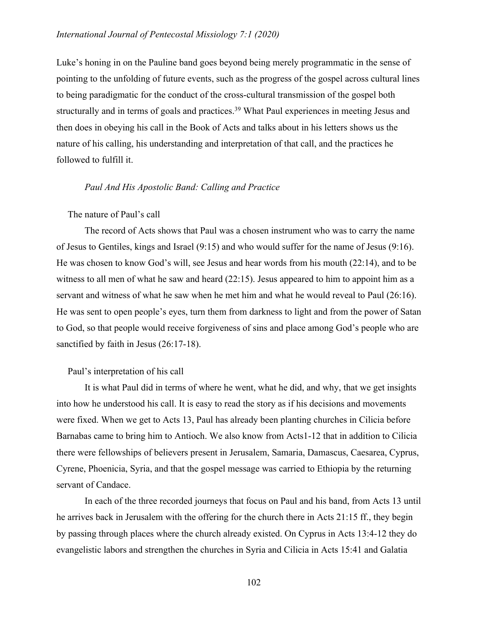Luke's honing in on the Pauline band goes beyond being merely programmatic in the sense of pointing to the unfolding of future events, such as the progress of the gospel across cultural lines to being paradigmatic for the conduct of the cross-cultural transmission of the gospel both structurally and in terms of goals and practices.<sup>39</sup> What Paul experiences in meeting Jesus and then does in obeying his call in the Book of Acts and talks about in his letters shows us the nature of his calling, his understanding and interpretation of that call, and the practices he followed to fulfill it.

# *Paul And His Apostolic Band: Calling and Practice*

### The nature of Paul's call

The record of Acts shows that Paul was a chosen instrument who was to carry the name of Jesus to Gentiles, kings and Israel (9:15) and who would suffer for the name of Jesus (9:16). He was chosen to know God's will, see Jesus and hear words from his mouth (22:14), and to be witness to all men of what he saw and heard (22:15). Jesus appeared to him to appoint him as a servant and witness of what he saw when he met him and what he would reveal to Paul (26:16). He was sent to open people's eyes, turn them from darkness to light and from the power of Satan to God, so that people would receive forgiveness of sins and place among God's people who are sanctified by faith in Jesus (26:17-18).

### Paul's interpretation of his call

It is what Paul did in terms of where he went, what he did, and why, that we get insights into how he understood his call. It is easy to read the story as if his decisions and movements were fixed. When we get to Acts 13, Paul has already been planting churches in Cilicia before Barnabas came to bring him to Antioch. We also know from Acts1-12 that in addition to Cilicia there were fellowships of believers present in Jerusalem, Samaria, Damascus, Caesarea, Cyprus, Cyrene, Phoenicia, Syria, and that the gospel message was carried to Ethiopia by the returning servant of Candace.

In each of the three recorded journeys that focus on Paul and his band, from Acts 13 until he arrives back in Jerusalem with the offering for the church there in Acts 21:15 ff., they begin by passing through places where the church already existed. On Cyprus in Acts 13:4-12 they do evangelistic labors and strengthen the churches in Syria and Cilicia in Acts 15:41 and Galatia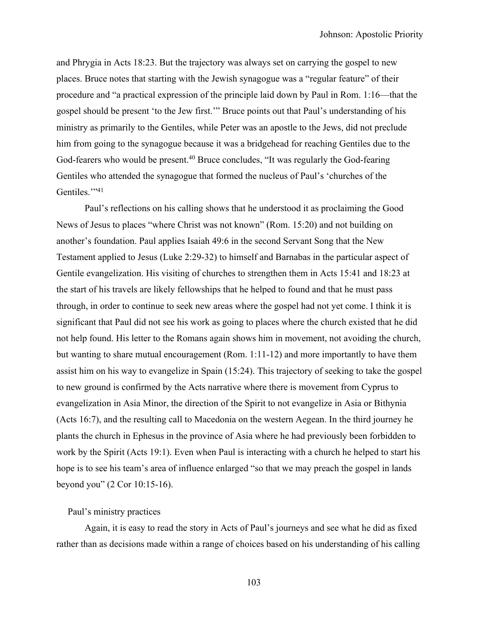and Phrygia in Acts 18:23. But the trajectory was always set on carrying the gospel to new places. Bruce notes that starting with the Jewish synagogue was a "regular feature" of their procedure and "a practical expression of the principle laid down by Paul in Rom. 1:16—that the gospel should be present 'to the Jew first.'" Bruce points out that Paul's understanding of his ministry as primarily to the Gentiles, while Peter was an apostle to the Jews, did not preclude him from going to the synagogue because it was a bridgehead for reaching Gentiles due to the God-fearers who would be present.<sup>40</sup> Bruce concludes, "It was regularly the God-fearing Gentiles who attended the synagogue that formed the nucleus of Paul's 'churches of the Gentiles."<sup>41</sup>

Paul's reflections on his calling shows that he understood it as proclaiming the Good News of Jesus to places "where Christ was not known" (Rom. 15:20) and not building on another's foundation. Paul applies Isaiah 49:6 in the second Servant Song that the New Testament applied to Jesus (Luke 2:29-32) to himself and Barnabas in the particular aspect of Gentile evangelization. His visiting of churches to strengthen them in Acts 15:41 and 18:23 at the start of his travels are likely fellowships that he helped to found and that he must pass through, in order to continue to seek new areas where the gospel had not yet come. I think it is significant that Paul did not see his work as going to places where the church existed that he did not help found. His letter to the Romans again shows him in movement, not avoiding the church, but wanting to share mutual encouragement (Rom. 1:11-12) and more importantly to have them assist him on his way to evangelize in Spain (15:24). This trajectory of seeking to take the gospel to new ground is confirmed by the Acts narrative where there is movement from Cyprus to evangelization in Asia Minor, the direction of the Spirit to not evangelize in Asia or Bithynia (Acts 16:7), and the resulting call to Macedonia on the western Aegean. In the third journey he plants the church in Ephesus in the province of Asia where he had previously been forbidden to work by the Spirit (Acts 19:1). Even when Paul is interacting with a church he helped to start his hope is to see his team's area of influence enlarged "so that we may preach the gospel in lands beyond you" (2 Cor 10:15-16).

### Paul's ministry practices

Again, it is easy to read the story in Acts of Paul's journeys and see what he did as fixed rather than as decisions made within a range of choices based on his understanding of his calling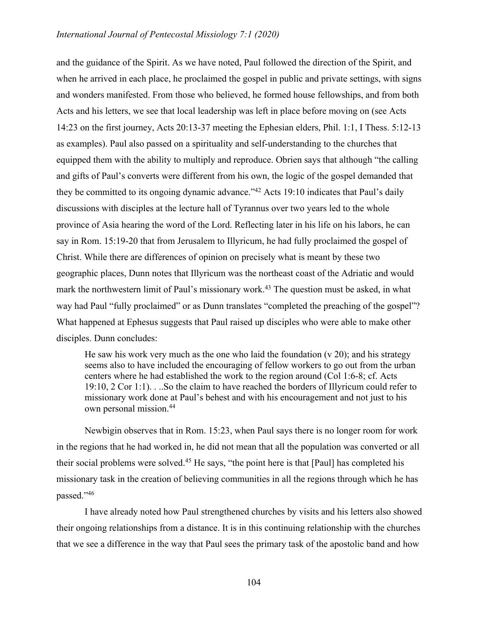and the guidance of the Spirit. As we have noted, Paul followed the direction of the Spirit, and when he arrived in each place, he proclaimed the gospel in public and private settings, with signs and wonders manifested. From those who believed, he formed house fellowships, and from both Acts and his letters, we see that local leadership was left in place before moving on (see Acts 14:23 on the first journey, Acts 20:13-37 meeting the Ephesian elders, Phil. 1:1, I Thess. 5:12-13 as examples). Paul also passed on a spirituality and self-understanding to the churches that equipped them with the ability to multiply and reproduce. Obrien says that although "the calling and gifts of Paul's converts were different from his own, the logic of the gospel demanded that they be committed to its ongoing dynamic advance."<sup>42</sup> Acts 19:10 indicates that Paul's daily discussions with disciples at the lecture hall of Tyrannus over two years led to the whole province of Asia hearing the word of the Lord. Reflecting later in his life on his labors, he can say in Rom. 15:19-20 that from Jerusalem to Illyricum, he had fully proclaimed the gospel of Christ. While there are differences of opinion on precisely what is meant by these two geographic places, Dunn notes that Illyricum was the northeast coast of the Adriatic and would mark the northwestern limit of Paul's missionary work.<sup>43</sup> The question must be asked, in what way had Paul "fully proclaimed" or as Dunn translates "completed the preaching of the gospel"? What happened at Ephesus suggests that Paul raised up disciples who were able to make other disciples. Dunn concludes:

He saw his work very much as the one who laid the foundation  $(v 20)$ ; and his strategy seems also to have included the encouraging of fellow workers to go out from the urban centers where he had established the work to the region around (Col 1:6-8; cf. Acts 19:10, 2 Cor 1:1). . ..So the claim to have reached the borders of Illyricum could refer to missionary work done at Paul's behest and with his encouragement and not just to his own personal mission.44

Newbigin observes that in Rom. 15:23, when Paul says there is no longer room for work in the regions that he had worked in, he did not mean that all the population was converted or all their social problems were solved.45 He says, "the point here is that [Paul] has completed his missionary task in the creation of believing communities in all the regions through which he has passed."46

I have already noted how Paul strengthened churches by visits and his letters also showed their ongoing relationships from a distance. It is in this continuing relationship with the churches that we see a difference in the way that Paul sees the primary task of the apostolic band and how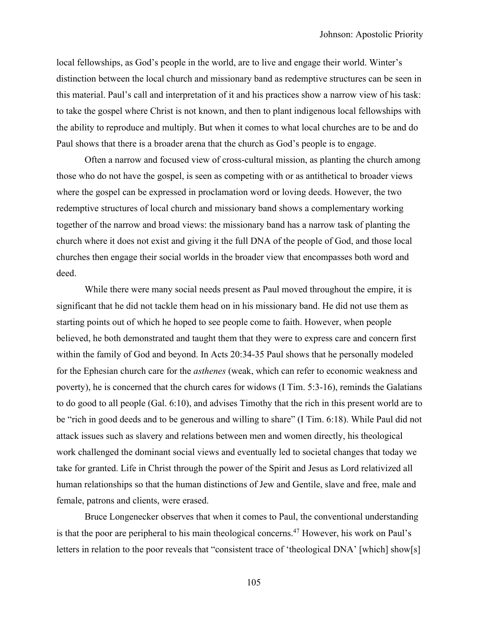local fellowships, as God's people in the world, are to live and engage their world. Winter's distinction between the local church and missionary band as redemptive structures can be seen in this material. Paul's call and interpretation of it and his practices show a narrow view of his task: to take the gospel where Christ is not known, and then to plant indigenous local fellowships with the ability to reproduce and multiply. But when it comes to what local churches are to be and do Paul shows that there is a broader arena that the church as God's people is to engage.

Often a narrow and focused view of cross-cultural mission, as planting the church among those who do not have the gospel, is seen as competing with or as antithetical to broader views where the gospel can be expressed in proclamation word or loving deeds. However, the two redemptive structures of local church and missionary band shows a complementary working together of the narrow and broad views: the missionary band has a narrow task of planting the church where it does not exist and giving it the full DNA of the people of God, and those local churches then engage their social worlds in the broader view that encompasses both word and deed.

While there were many social needs present as Paul moved throughout the empire, it is significant that he did not tackle them head on in his missionary band. He did not use them as starting points out of which he hoped to see people come to faith. However, when people believed, he both demonstrated and taught them that they were to express care and concern first within the family of God and beyond. In Acts 20:34-35 Paul shows that he personally modeled for the Ephesian church care for the *asthenes* (weak, which can refer to economic weakness and poverty), he is concerned that the church cares for widows (I Tim. 5:3-16), reminds the Galatians to do good to all people (Gal. 6:10), and advises Timothy that the rich in this present world are to be "rich in good deeds and to be generous and willing to share" (I Tim. 6:18). While Paul did not attack issues such as slavery and relations between men and women directly, his theological work challenged the dominant social views and eventually led to societal changes that today we take for granted. Life in Christ through the power of the Spirit and Jesus as Lord relativized all human relationships so that the human distinctions of Jew and Gentile, slave and free, male and female, patrons and clients, were erased.

Bruce Longenecker observes that when it comes to Paul, the conventional understanding is that the poor are peripheral to his main theological concerns.<sup>47</sup> However, his work on Paul's letters in relation to the poor reveals that "consistent trace of 'theological DNA' [which] show[s]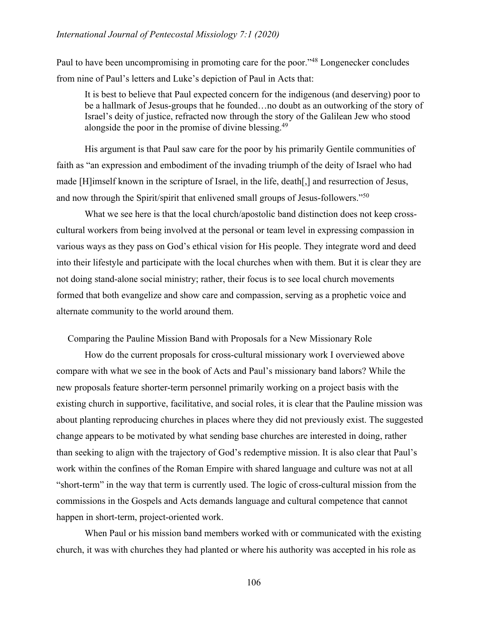Paul to have been uncompromising in promoting care for the poor."<sup>48</sup> Longenecker concludes from nine of Paul's letters and Luke's depiction of Paul in Acts that:

It is best to believe that Paul expected concern for the indigenous (and deserving) poor to be a hallmark of Jesus-groups that he founded…no doubt as an outworking of the story of Israel's deity of justice, refracted now through the story of the Galilean Jew who stood alongside the poor in the promise of divine blessing.<sup>49</sup>

His argument is that Paul saw care for the poor by his primarily Gentile communities of faith as "an expression and embodiment of the invading triumph of the deity of Israel who had made [H]imself known in the scripture of Israel, in the life, death[,] and resurrection of Jesus, and now through the Spirit/spirit that enlivened small groups of Jesus-followers."50

What we see here is that the local church/apostolic band distinction does not keep crosscultural workers from being involved at the personal or team level in expressing compassion in various ways as they pass on God's ethical vision for His people. They integrate word and deed into their lifestyle and participate with the local churches when with them. But it is clear they are not doing stand-alone social ministry; rather, their focus is to see local church movements formed that both evangelize and show care and compassion, serving as a prophetic voice and alternate community to the world around them.

Comparing the Pauline Mission Band with Proposals for a New Missionary Role

How do the current proposals for cross-cultural missionary work I overviewed above compare with what we see in the book of Acts and Paul's missionary band labors? While the new proposals feature shorter-term personnel primarily working on a project basis with the existing church in supportive, facilitative, and social roles, it is clear that the Pauline mission was about planting reproducing churches in places where they did not previously exist. The suggested change appears to be motivated by what sending base churches are interested in doing, rather than seeking to align with the trajectory of God's redemptive mission. It is also clear that Paul's work within the confines of the Roman Empire with shared language and culture was not at all "short-term" in the way that term is currently used. The logic of cross-cultural mission from the commissions in the Gospels and Acts demands language and cultural competence that cannot happen in short-term, project-oriented work.

When Paul or his mission band members worked with or communicated with the existing church, it was with churches they had planted or where his authority was accepted in his role as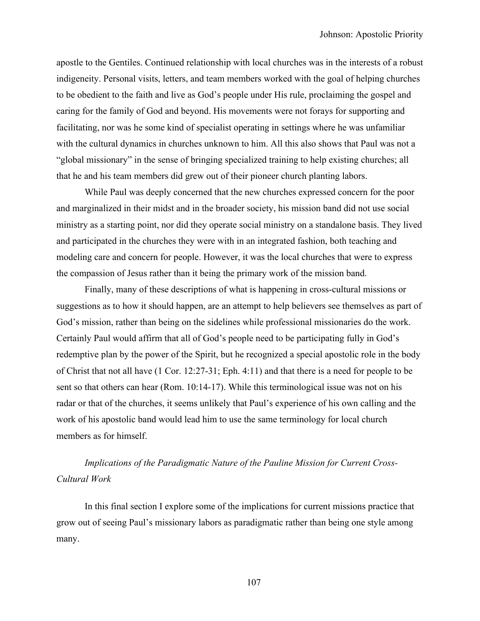apostle to the Gentiles. Continued relationship with local churches was in the interests of a robust indigeneity. Personal visits, letters, and team members worked with the goal of helping churches to be obedient to the faith and live as God's people under His rule, proclaiming the gospel and caring for the family of God and beyond. His movements were not forays for supporting and facilitating, nor was he some kind of specialist operating in settings where he was unfamiliar with the cultural dynamics in churches unknown to him. All this also shows that Paul was not a "global missionary" in the sense of bringing specialized training to help existing churches; all that he and his team members did grew out of their pioneer church planting labors.

While Paul was deeply concerned that the new churches expressed concern for the poor and marginalized in their midst and in the broader society, his mission band did not use social ministry as a starting point, nor did they operate social ministry on a standalone basis. They lived and participated in the churches they were with in an integrated fashion, both teaching and modeling care and concern for people. However, it was the local churches that were to express the compassion of Jesus rather than it being the primary work of the mission band.

Finally, many of these descriptions of what is happening in cross-cultural missions or suggestions as to how it should happen, are an attempt to help believers see themselves as part of God's mission, rather than being on the sidelines while professional missionaries do the work. Certainly Paul would affirm that all of God's people need to be participating fully in God's redemptive plan by the power of the Spirit, but he recognized a special apostolic role in the body of Christ that not all have (1 Cor. 12:27-31; Eph. 4:11) and that there is a need for people to be sent so that others can hear (Rom. 10:14-17). While this terminological issue was not on his radar or that of the churches, it seems unlikely that Paul's experience of his own calling and the work of his apostolic band would lead him to use the same terminology for local church members as for himself.

*Implications of the Paradigmatic Nature of the Pauline Mission for Current Cross-Cultural Work*

In this final section I explore some of the implications for current missions practice that grow out of seeing Paul's missionary labors as paradigmatic rather than being one style among many.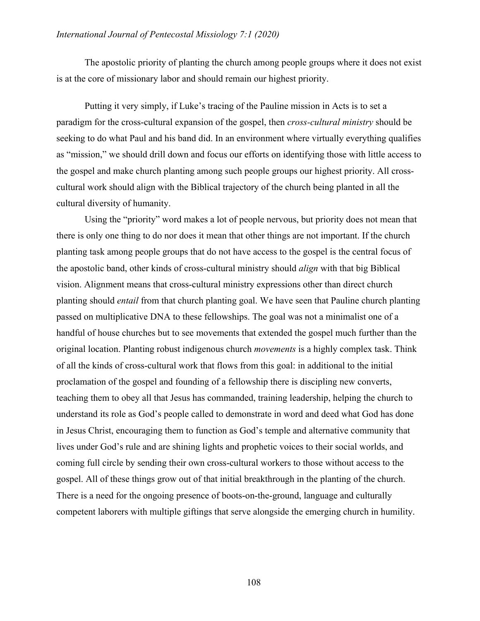The apostolic priority of planting the church among people groups where it does not exist is at the core of missionary labor and should remain our highest priority.

Putting it very simply, if Luke's tracing of the Pauline mission in Acts is to set a paradigm for the cross-cultural expansion of the gospel, then *cross-cultural ministry* should be seeking to do what Paul and his band did. In an environment where virtually everything qualifies as "mission," we should drill down and focus our efforts on identifying those with little access to the gospel and make church planting among such people groups our highest priority. All crosscultural work should align with the Biblical trajectory of the church being planted in all the cultural diversity of humanity.

Using the "priority" word makes a lot of people nervous, but priority does not mean that there is only one thing to do nor does it mean that other things are not important. If the church planting task among people groups that do not have access to the gospel is the central focus of the apostolic band, other kinds of cross-cultural ministry should *align* with that big Biblical vision. Alignment means that cross-cultural ministry expressions other than direct church planting should *entail* from that church planting goal. We have seen that Pauline church planting passed on multiplicative DNA to these fellowships. The goal was not a minimalist one of a handful of house churches but to see movements that extended the gospel much further than the original location. Planting robust indigenous church *movements* is a highly complex task. Think of all the kinds of cross-cultural work that flows from this goal: in additional to the initial proclamation of the gospel and founding of a fellowship there is discipling new converts, teaching them to obey all that Jesus has commanded, training leadership, helping the church to understand its role as God's people called to demonstrate in word and deed what God has done in Jesus Christ, encouraging them to function as God's temple and alternative community that lives under God's rule and are shining lights and prophetic voices to their social worlds, and coming full circle by sending their own cross-cultural workers to those without access to the gospel. All of these things grow out of that initial breakthrough in the planting of the church. There is a need for the ongoing presence of boots-on-the-ground, language and culturally competent laborers with multiple giftings that serve alongside the emerging church in humility.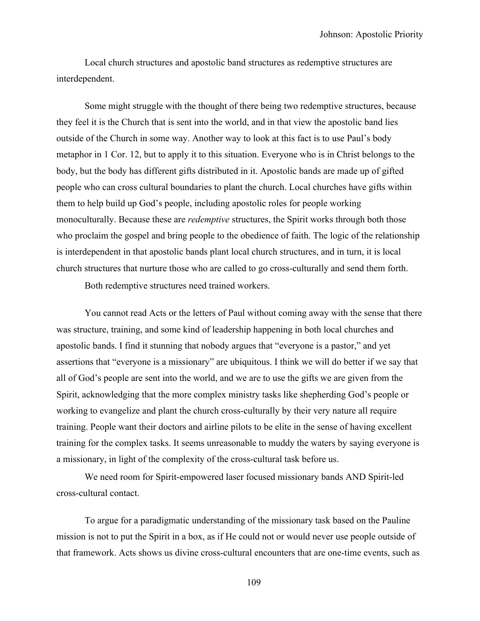Local church structures and apostolic band structures as redemptive structures are interdependent.

Some might struggle with the thought of there being two redemptive structures, because they feel it is the Church that is sent into the world, and in that view the apostolic band lies outside of the Church in some way. Another way to look at this fact is to use Paul's body metaphor in 1 Cor. 12, but to apply it to this situation. Everyone who is in Christ belongs to the body, but the body has different gifts distributed in it. Apostolic bands are made up of gifted people who can cross cultural boundaries to plant the church. Local churches have gifts within them to help build up God's people, including apostolic roles for people working monoculturally. Because these are *redemptive* structures, the Spirit works through both those who proclaim the gospel and bring people to the obedience of faith. The logic of the relationship is interdependent in that apostolic bands plant local church structures, and in turn, it is local church structures that nurture those who are called to go cross-culturally and send them forth.

Both redemptive structures need trained workers.

You cannot read Acts or the letters of Paul without coming away with the sense that there was structure, training, and some kind of leadership happening in both local churches and apostolic bands. I find it stunning that nobody argues that "everyone is a pastor," and yet assertions that "everyone is a missionary" are ubiquitous. I think we will do better if we say that all of God's people are sent into the world, and we are to use the gifts we are given from the Spirit, acknowledging that the more complex ministry tasks like shepherding God's people or working to evangelize and plant the church cross-culturally by their very nature all require training. People want their doctors and airline pilots to be elite in the sense of having excellent training for the complex tasks. It seems unreasonable to muddy the waters by saying everyone is a missionary, in light of the complexity of the cross-cultural task before us.

We need room for Spirit-empowered laser focused missionary bands AND Spirit-led cross-cultural contact.

To argue for a paradigmatic understanding of the missionary task based on the Pauline mission is not to put the Spirit in a box, as if He could not or would never use people outside of that framework. Acts shows us divine cross-cultural encounters that are one-time events, such as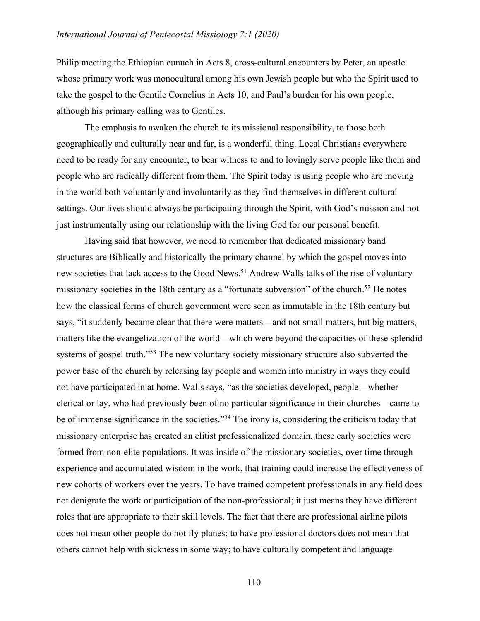Philip meeting the Ethiopian eunuch in Acts 8, cross-cultural encounters by Peter, an apostle whose primary work was monocultural among his own Jewish people but who the Spirit used to take the gospel to the Gentile Cornelius in Acts 10, and Paul's burden for his own people, although his primary calling was to Gentiles.

The emphasis to awaken the church to its missional responsibility, to those both geographically and culturally near and far, is a wonderful thing. Local Christians everywhere need to be ready for any encounter, to bear witness to and to lovingly serve people like them and people who are radically different from them. The Spirit today is using people who are moving in the world both voluntarily and involuntarily as they find themselves in different cultural settings. Our lives should always be participating through the Spirit, with God's mission and not just instrumentally using our relationship with the living God for our personal benefit.

Having said that however, we need to remember that dedicated missionary band structures are Biblically and historically the primary channel by which the gospel moves into new societies that lack access to the Good News.<sup>51</sup> Andrew Walls talks of the rise of voluntary missionary societies in the 18th century as a "fortunate subversion" of the church.<sup>52</sup> He notes how the classical forms of church government were seen as immutable in the 18th century but says, "it suddenly became clear that there were matters—and not small matters, but big matters, matters like the evangelization of the world—which were beyond the capacities of these splendid systems of gospel truth."<sup>53</sup> The new voluntary society missionary structure also subverted the power base of the church by releasing lay people and women into ministry in ways they could not have participated in at home. Walls says, "as the societies developed, people—whether clerical or lay, who had previously been of no particular significance in their churches—came to be of immense significance in the societies."<sup>54</sup> The irony is, considering the criticism today that missionary enterprise has created an elitist professionalized domain, these early societies were formed from non-elite populations. It was inside of the missionary societies, over time through experience and accumulated wisdom in the work, that training could increase the effectiveness of new cohorts of workers over the years. To have trained competent professionals in any field does not denigrate the work or participation of the non-professional; it just means they have different roles that are appropriate to their skill levels. The fact that there are professional airline pilots does not mean other people do not fly planes; to have professional doctors does not mean that others cannot help with sickness in some way; to have culturally competent and language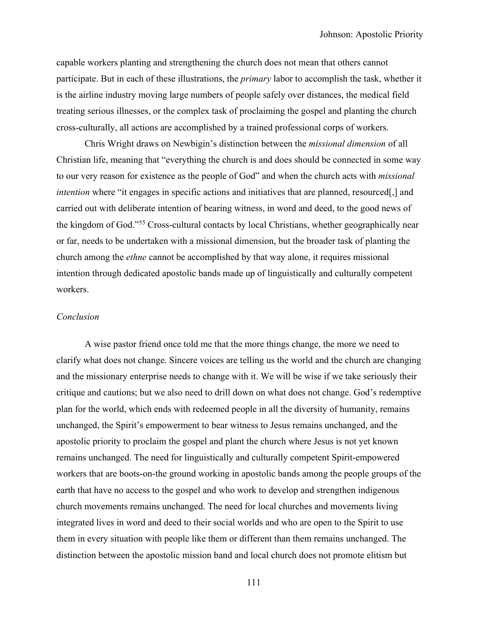capable workers planting and strengthening the church does not mean that others cannot participate. But in each of these illustrations, the *primary* labor to accomplish the task, whether it is the airline industry moving large numbers of people safely over distances, the medical field treating serious illnesses, or the complex task of proclaiming the gospel and planting the church cross-culturally, all actions are accomplished by a trained professional corps of workers.

Chris Wright draws on Newbigin's distinction between the *missional dimension* of all Christian life, meaning that "everything the church is and does should be connected in some way to our very reason for existence as the people of God" and when the church acts with *missional intention* where "it engages in specific actions and initiatives that are planned, resourced, and carried out with deliberate intention of bearing witness, in word and deed, to the good news of the kingdom of God."55 Cross-cultural contacts by local Christians, whether geographically near or far, needs to be undertaken with a missional dimension, but the broader task of planting the church among the *ethne* cannot be accomplished by that way alone, it requires missional intention through dedicated apostolic bands made up of linguistically and culturally competent workers.

### *Conclusion*

A wise pastor friend once told me that the more things change, the more we need to clarify what does not change. Sincere voices are telling us the world and the church are changing and the missionary enterprise needs to change with it. We will be wise if we take seriously their critique and cautions; but we also need to drill down on what does not change. God's redemptive plan for the world, which ends with redeemed people in all the diversity of humanity, remains unchanged, the Spirit's empowerment to bear witness to Jesus remains unchanged, and the apostolic priority to proclaim the gospel and plant the church where Jesus is not yet known remains unchanged. The need for linguistically and culturally competent Spirit-empowered workers that are boots-on-the ground working in apostolic bands among the people groups of the earth that have no access to the gospel and who work to develop and strengthen indigenous church movements remains unchanged. The need for local churches and movements living integrated lives in word and deed to their social worlds and who are open to the Spirit to use them in every situation with people like them or different than them remains unchanged. The distinction between the apostolic mission band and local church does not promote elitism but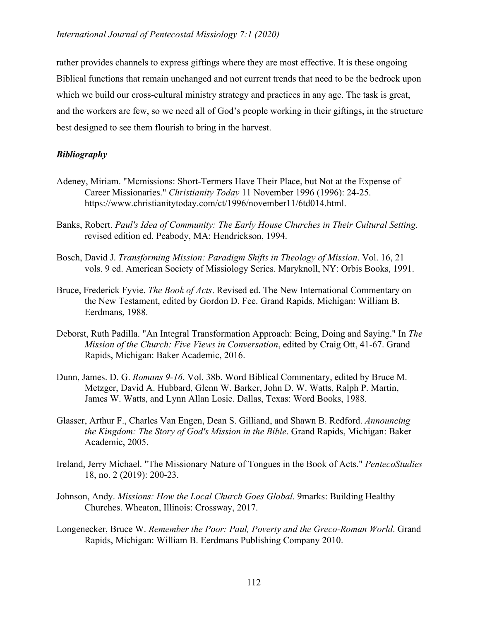rather provides channels to express giftings where they are most effective. It is these ongoing Biblical functions that remain unchanged and not current trends that need to be the bedrock upon which we build our cross-cultural ministry strategy and practices in any age. The task is great, and the workers are few, so we need all of God's people working in their giftings, in the structure best designed to see them flourish to bring in the harvest.

# *Bibliography*

- Adeney, Miriam. "Mcmissions: Short-Termers Have Their Place, but Not at the Expense of Career Missionaries." *Christianity Today* 11 November 1996 (1996): 24-25. https://www.christianitytoday.com/ct/1996/november11/6td014.html.
- Banks, Robert. *Paul's Idea of Community: The Early House Churches in Their Cultural Setting*. revised edition ed. Peabody, MA: Hendrickson, 1994.
- Bosch, David J. *Transforming Mission: Paradigm Shifts in Theology of Mission*. Vol. 16, 21 vols. 9 ed. American Society of Missiology Series. Maryknoll, NY: Orbis Books, 1991.
- Bruce, Frederick Fyvie. *The Book of Acts*. Revised ed. The New International Commentary on the New Testament, edited by Gordon D. Fee. Grand Rapids, Michigan: William B. Eerdmans, 1988.
- Deborst, Ruth Padilla. "An Integral Transformation Approach: Being, Doing and Saying." In *The Mission of the Church: Five Views in Conversation*, edited by Craig Ott, 41-67. Grand Rapids, Michigan: Baker Academic, 2016.
- Dunn, James. D. G. *Romans 9-16*. Vol. 38b. Word Biblical Commentary, edited by Bruce M. Metzger, David A. Hubbard, Glenn W. Barker, John D. W. Watts, Ralph P. Martin, James W. Watts, and Lynn Allan Losie. Dallas, Texas: Word Books, 1988.
- Glasser, Arthur F., Charles Van Engen, Dean S. Gilliand, and Shawn B. Redford. *Announcing the Kingdom: The Story of God's Mission in the Bible*. Grand Rapids, Michigan: Baker Academic, 2005.
- Ireland, Jerry Michael. "The Missionary Nature of Tongues in the Book of Acts." *PentecoStudies* 18, no. 2 (2019): 200-23.
- Johnson, Andy. *Missions: How the Local Church Goes Global*. 9marks: Building Healthy Churches. Wheaton, Illinois: Crossway, 2017.
- Longenecker, Bruce W. *Remember the Poor: Paul, Poverty and the Greco-Roman World*. Grand Rapids, Michigan: William B. Eerdmans Publishing Company 2010.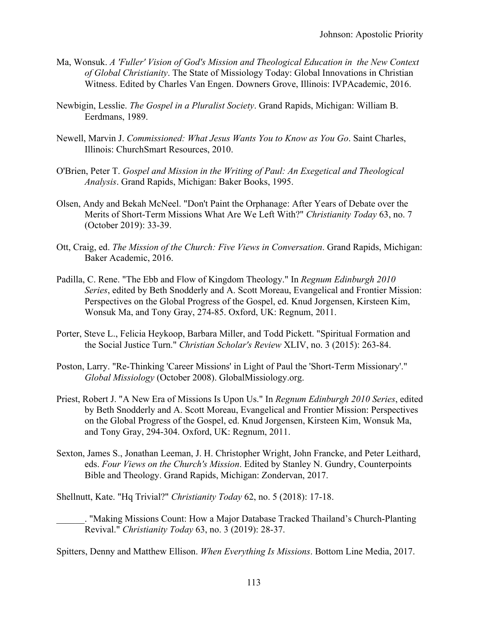- Ma, Wonsuk. *A 'Fuller' Vision of God's Mission and Theological Education in the New Context of Global Christianity*. The State of Missiology Today: Global Innovations in Christian Witness. Edited by Charles Van Engen. Downers Grove, Illinois: IVPAcademic, 2016.
- Newbigin, Lesslie. *The Gospel in a Pluralist Society*. Grand Rapids, Michigan: William B. Eerdmans, 1989.
- Newell, Marvin J. *Commissioned: What Jesus Wants You to Know as You Go*. Saint Charles, Illinois: ChurchSmart Resources, 2010.
- O'Brien, Peter T. *Gospel and Mission in the Writing of Paul: An Exegetical and Theological Analysis*. Grand Rapids, Michigan: Baker Books, 1995.
- Olsen, Andy and Bekah McNeel. "Don't Paint the Orphanage: After Years of Debate over the Merits of Short-Term Missions What Are We Left With?" *Christianity Today* 63, no. 7 (October 2019): 33-39.
- Ott, Craig, ed. *The Mission of the Church: Five Views in Conversation*. Grand Rapids, Michigan: Baker Academic, 2016.
- Padilla, C. Rene. "The Ebb and Flow of Kingdom Theology." In *Regnum Edinburgh 2010 Series*, edited by Beth Snodderly and A. Scott Moreau, Evangelical and Frontier Mission: Perspectives on the Global Progress of the Gospel, ed. Knud Jorgensen, Kirsteen Kim, Wonsuk Ma, and Tony Gray, 274-85. Oxford, UK: Regnum, 2011.
- Porter, Steve L., Felicia Heykoop, Barbara Miller, and Todd Pickett. "Spiritual Formation and the Social Justice Turn." *Christian Scholar's Review* XLIV, no. 3 (2015): 263-84.
- Poston, Larry. "Re-Thinking 'Career Missions' in Light of Paul the 'Short-Term Missionary'." *Global Missiology* (October 2008). GlobalMissiology.org.
- Priest, Robert J. "A New Era of Missions Is Upon Us." In *Regnum Edinburgh 2010 Series*, edited by Beth Snodderly and A. Scott Moreau, Evangelical and Frontier Mission: Perspectives on the Global Progress of the Gospel, ed. Knud Jorgensen, Kirsteen Kim, Wonsuk Ma, and Tony Gray, 294-304. Oxford, UK: Regnum, 2011.
- Sexton, James S., Jonathan Leeman, J. H. Christopher Wright, John Francke, and Peter Leithard, eds. *Four Views on the Church's Mission*. Edited by Stanley N. Gundry, Counterpoints Bible and Theology. Grand Rapids, Michigan: Zondervan, 2017.

Shellnutt, Kate. "Hq Trivial?" *Christianity Today* 62, no. 5 (2018): 17-18.

\_\_\_\_\_\_. "Making Missions Count: How a Major Database Tracked Thailand's Church-Planting Revival." *Christianity Today* 63, no. 3 (2019): 28-37.

Spitters, Denny and Matthew Ellison. *When Everything Is Missions*. Bottom Line Media, 2017.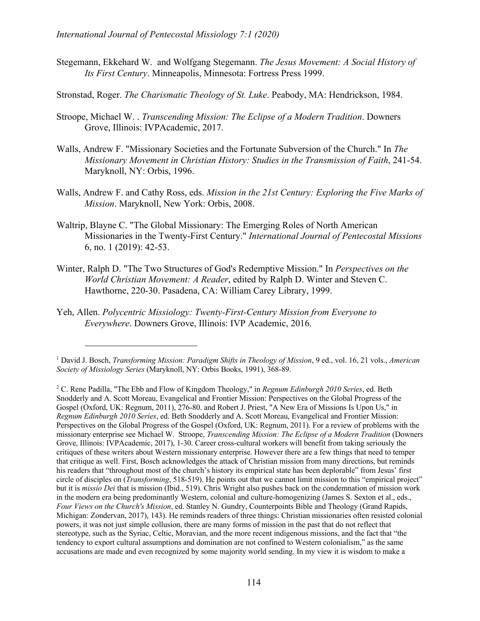- Stegemann, Ekkehard W. and Wolfgang Stegemann. *The Jesus Movement: A Social History of Its First Century*. Minneapolis, Minnesota: Fortress Press 1999.
- Stronstad, Roger. *The Charismatic Theology of St. Luke*. Peabody, MA: Hendrickson, 1984.
- Stroope, Michael W. . *Transcending Mission: The Eclipse of a Modern Tradition*. Downers Grove, Illinois: IVPAcademic, 2017.
- Walls, Andrew F. "Missionary Societies and the Fortunate Subversion of the Church." In *The Missionary Movement in Christian History: Studies in the Transmission of Faith*, 241-54. Maryknoll, NY: Orbis, 1996.
- Walls, Andrew F. and Cathy Ross, eds. *Mission in the 21st Century: Exploring the Five Marks of Mission*. Maryknoll, New York: Orbis, 2008.
- Waltrip, Blayne C. "The Global Missionary: The Emerging Roles of North American Missionaries in the Twenty-First Century." *International Journal of Pentecostal Missions* 6, no. 1 (2019): 42-53.
- Winter, Ralph D. "The Two Structures of God's Redemptive Mission." In *Perspectives on the World Christian Movement: A Reader*, edited by Ralph D. Winter and Steven C. Hawthorne, 220-30. Pasadena, CA: William Carey Library, 1999.
- Yeh, Allen. *Polycentric Missiology: Twenty-First-Century Mission from Everyone to Everywhere*. Downers Grove, Illinois: IVP Academic, 2016.

<sup>1</sup> David J. Bosch, *Transforming Mission: Paradigm Shifts in Theology of Mission*, 9 ed., vol. 16, 21 vols., *American Society of Missiology Series* (Maryknoll, NY: Orbis Books, 1991), 368-89.

<sup>2</sup> C. Rene Padilla, "The Ebb and Flow of Kingdom Theology," in *Regnum Edinburgh 2010 Series*, ed. Beth Snodderly and A. Scott Moreau, Evangelical and Frontier Mission: Perspectives on the Global Progress of the Gospel (Oxford, UK: Regnum, 2011), 276-80. and Robert J. Priest, "A New Era of Missions Is Upon Us," in *Regnum Edinburgh 2010 Series*, ed. Beth Snodderly and A. Scott Moreau, Evangelical and Frontier Mission: Perspectives on the Global Progress of the Gospel (Oxford, UK: Regnum, 2011). For a review of problems with the missionary enterprise see Michael W. Stroope, *Transcending Mission: The Eclipse of a Modern Tradition* (Downers Grove, Illinois: IVPAcademic, 2017), 1-30. Career cross-cultural workers will benefit from taking seriously the critiques of these writers about Western missionary enterprise. However there are a few things that need to temper that critique as well. First, Bosch acknowledges the attack of Christian mission from many directions, but reminds his readers that "throughout most of the church's history its empirical state has been deplorable" from Jesus' first circle of disciples on (*Transforming*, 518-519). He points out that we cannot limit mission to this "empirical project" but it is *missio Dei* that is mission (Ibid., 519). Chris Wright also pushes back on the condemnation of mission work in the modern era being predominantly Western, colonial and culture-homogenizing (James S. Sexton et al., eds., *Four Views on the Church's Mission*, ed. Stanley N. Gundry, Counterpoints Bible and Theology (Grand Rapids, Michigan: Zondervan, 2017), 143). He reminds readers of three things: Christian missionaries often resisted colonial powers, it was not just simple collusion, there are many forms of mission in the past that do not reflect that stereotype, such as the Syriac, Celtic, Moravian, and the more recent indigenous missions, and the fact that "the tendency to export cultural assumptions and domination are not confined to Western colonialism," as the same accusations are made and even recognized by some majority world sending. In my view it is wisdom to make a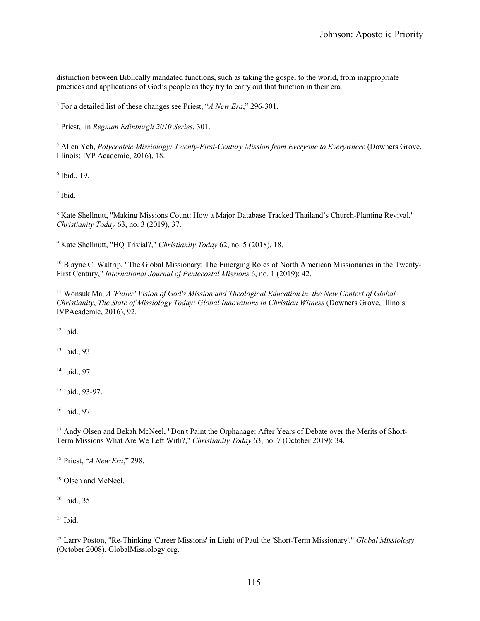distinction between Biblically mandated functions, such as taking the gospel to the world, from inappropriate practices and applications of God's people as they try to carry out that function in their era.

<sup>3</sup> For a detailed list of these changes see Priest, "*A New Era*," 296-301.

<sup>4</sup> Priest, in *Regnum Edinburgh 2010 Series*, 301.

<sup>5</sup> Allen Yeh, *Polycentric Missiology: Twenty-First-Century Mission from Everyone to Everywhere* (Downers Grove, Illinois: IVP Academic, 2016), 18.

<sup>6</sup> Ibid., 19.

<sup>7</sup> Ibid.

<sup>8</sup> Kate Shellnutt, "Making Missions Count: How a Major Database Tracked Thailand's Church-Planting Revival," *Christianity Today* 63, no. 3 (2019), 37.

<sup>9</sup> Kate Shellnutt, "HQ Trivial?," *Christianity Today* 62, no. 5 (2018), 18.

<sup>10</sup> Blayne C. Waltrip, "The Global Missionary: The Emerging Roles of North American Missionaries in the Twenty-First Century," *International Journal of Pentecostal Missions* 6, no. 1 (2019): 42.

<sup>11</sup> Wonsuk Ma, *A 'Fuller' Vision of God's Mission and Theological Education in the New Context of Global Christianity*, *The State of Missiology Today: Global Innovations in Christian Witness* (Downers Grove, Illinois: IVPAcademic, 2016), 92.

 $12$  Ibid.

<sup>13</sup> Ibid., 93.

<sup>14</sup> Ibid., 97.

<sup>15</sup> Ibid., 93-97.

<sup>16</sup> Ibid., 97.

<sup>17</sup> Andy Olsen and Bekah McNeel, "Don't Paint the Orphanage: After Years of Debate over the Merits of Short-Term Missions What Are We Left With?," *Christianity Today* 63, no. 7 (October 2019): 34.

<sup>18</sup> Priest, "*A New Era*," 298.

<sup>19</sup> Olsen and McNeel.

<sup>20</sup> Ibid., 35.

 $21$  Ibid.

<sup>22</sup> Larry Poston, "Re-Thinking 'Career Missions' in Light of Paul the 'Short-Term Missionary'," *Global Missiology* (October 2008), GlobalMissiology.org.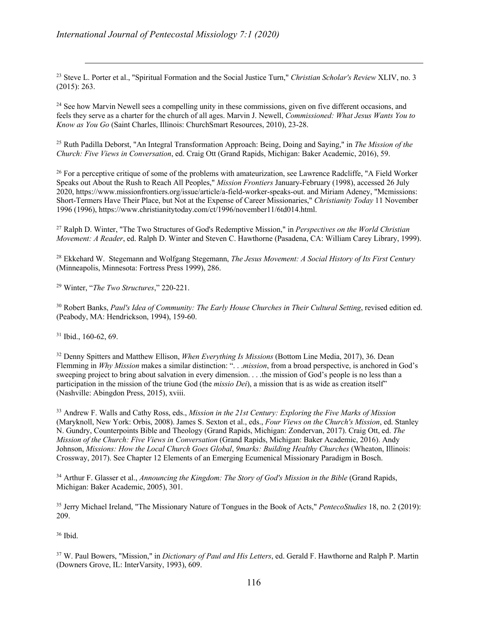<sup>23</sup> Steve L. Porter et al., "Spiritual Formation and the Social Justice Turn," *Christian Scholar's Review* XLIV, no. 3 (2015): 263.

<sup>24</sup> See how Marvin Newell sees a compelling unity in these commissions, given on five different occasions, and feels they serve as a charter for the church of all ages. Marvin J. Newell, *Commissioned: What Jesus Wants You to Know as You Go* (Saint Charles, Illinois: ChurchSmart Resources, 2010), 23-28.

<sup>25</sup> Ruth Padilla Deborst, "An Integral Transformation Approach: Being, Doing and Saying," in *The Mission of the Church: Five Views in Conversation*, ed. Craig Ott (Grand Rapids, Michigan: Baker Academic, 2016), 59.

 $^{26}$  For a perceptive critique of some of the problems with amateurization, see Lawrence Radcliffe, "A Field Worker" Speaks out About the Rush to Reach All Peoples," *Mission Frontiers* January-February (1998), accessed 26 July 2020, https://www.missionfrontiers.org/issue/article/a-field-worker-speaks-out. and Miriam Adeney, "Mcmissions: Short-Termers Have Their Place, but Not at the Expense of Career Missionaries," *Christianity Today* 11 November 1996 (1996), https://www.christianitytoday.com/ct/1996/november11/6td014.html.

<sup>27</sup> Ralph D. Winter, "The Two Structures of God's Redemptive Mission," in *Perspectives on the World Christian Movement: A Reader*, ed. Ralph D. Winter and Steven C. Hawthorne (Pasadena, CA: William Carey Library, 1999).

<sup>28</sup> Ekkehard W. Stegemann and Wolfgang Stegemann, *The Jesus Movement: A Social History of Its First Century* (Minneapolis, Minnesota: Fortress Press 1999), 286.

<sup>29</sup> Winter, "*The Two Structures*," 220-221.

<sup>30</sup> Robert Banks, *Paul's Idea of Community: The Early House Churches in Their Cultural Setting*, revised edition ed. (Peabody, MA: Hendrickson, 1994), 159-60.

<sup>31</sup> Ibid., 160-62, 69.

<sup>32</sup> Denny Spitters and Matthew Ellison, *When Everything Is Missions* (Bottom Line Media, 2017), 36. Dean Flemming in *Why Mission* makes a similar distinction: ". . .*mission*, from a broad perspective, is anchored in God's sweeping project to bring about salvation in every dimension. . . .the mission of God's people is no less than a participation in the mission of the triune God (the *missio Dei*), a mission that is as wide as creation itself" (Nashville: Abingdon Press, 2015), xviii.

<sup>33</sup> Andrew F. Walls and Cathy Ross, eds., *Mission in the 21st Century: Exploring the Five Marks of Mission* (Maryknoll, New York: Orbis, 2008). James S. Sexton et al., eds., *Four Views on the Church's Mission*, ed. Stanley N. Gundry, Counterpoints Bible and Theology (Grand Rapids, Michigan: Zondervan, 2017). Craig Ott, ed. *The Mission of the Church: Five Views in Conversation* (Grand Rapids, Michigan: Baker Academic, 2016). Andy Johnson, *Missions: How the Local Church Goes Global*, *9marks: Building Healthy Churches* (Wheaton, Illinois: Crossway, 2017). See Chapter 12 Elements of an Emerging Ecumenical Missionary Paradigm in Bosch.

<sup>34</sup> Arthur F. Glasser et al., *Announcing the Kingdom: The Story of God's Mission in the Bible* (Grand Rapids, Michigan: Baker Academic, 2005), 301.

<sup>35</sup> Jerry Michael Ireland, "The Missionary Nature of Tongues in the Book of Acts," *PentecoStudies* 18, no. 2 (2019): 209.

<sup>36</sup> Ibid.

<sup>37</sup> W. Paul Bowers, "Mission," in *Dictionary of Paul and His Letters*, ed. Gerald F. Hawthorne and Ralph P. Martin (Downers Grove, IL: InterVarsity, 1993), 609.